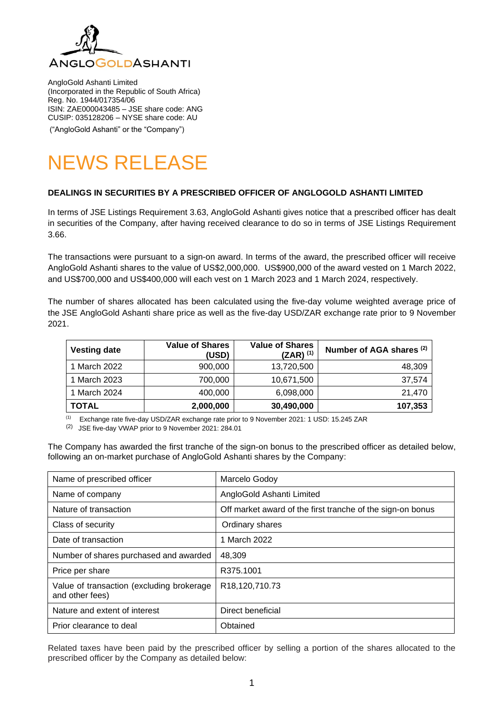

AngloGold Ashanti Limited (Incorporated in the Republic of South Africa) Reg. No. 1944/017354/06 ISIN: ZAE000043485 – JSE share code: ANG CUSIP: 035128206 – NYSE share code: AU ("AngloGold Ashanti" or the "Company")

# NEWS RELEASE

## **DEALINGS IN SECURITIES BY A PRESCRIBED OFFICER OF ANGLOGOLD ASHANTI LIMITED**

In terms of JSE Listings Requirement 3.63, AngloGold Ashanti gives notice that a prescribed officer has dealt in securities of the Company, after having received clearance to do so in terms of JSE Listings Requirement 3.66.

The transactions were pursuant to a sign-on award. In terms of the award, the prescribed officer will receive AngloGold Ashanti shares to the value of US\$2,000,000. US\$900,000 of the award vested on 1 March 2022, and US\$700,000 and US\$400,000 will each vest on 1 March 2023 and 1 March 2024, respectively.

The number of shares allocated has been calculated using the five-day volume weighted average price of the JSE AngloGold Ashanti share price as well as the five-day USD/ZAR exchange rate prior to 9 November 2021.

| <b>Vesting date</b> | <b>Value of Shares</b><br>(USD) | <b>Value of Shares</b><br>$(ZAR)^{(1)}$ | Number of AGA shares (2) |
|---------------------|---------------------------------|-----------------------------------------|--------------------------|
| 1 March 2022        | 900,000                         | 13,720,500                              | 48,309                   |
| 1 March 2023        | 700,000                         | 10,671,500                              | 37,574                   |
| 1 March 2024        | 400,000                         | 6,098,000                               | 21.470                   |
| <b>TOTAL</b>        | 2,000,000                       | 30,490,000                              | 107,353                  |

(1) Exchange rate five-day USD/ZAR exchange rate prior to 9 November 2021: 1 USD: 15.245 ZAR

(2) JSE five-day VWAP prior to 9 November 2021: 284.01

The Company has awarded the first tranche of the sign-on bonus to the prescribed officer as detailed below, following an on-market purchase of AngloGold Ashanti shares by the Company:

| Name of prescribed officer                                   | Marcelo Godoy                                              |  |
|--------------------------------------------------------------|------------------------------------------------------------|--|
| Name of company                                              | AngloGold Ashanti Limited                                  |  |
| Nature of transaction                                        | Off market award of the first tranche of the sign-on bonus |  |
| Class of security                                            | Ordinary shares                                            |  |
| Date of transaction                                          | 1 March 2022                                               |  |
| Number of shares purchased and awarded                       | 48,309                                                     |  |
| Price per share                                              | R375.1001                                                  |  |
| Value of transaction (excluding brokerage<br>and other fees) | R18,120,710.73                                             |  |
| Nature and extent of interest                                | Direct beneficial                                          |  |
| Prior clearance to deal                                      | Obtained                                                   |  |

Related taxes have been paid by the prescribed officer by selling a portion of the shares allocated to the prescribed officer by the Company as detailed below: